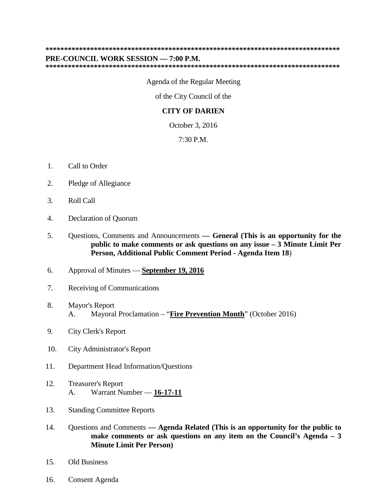## **\*\*\*\*\*\*\*\*\*\*\*\*\*\*\*\*\*\*\*\*\*\*\*\*\*\*\*\*\*\*\*\*\*\*\*\*\*\*\*\*\*\*\*\*\*\*\*\*\*\*\*\*\*\*\*\*\*\*\*\*\*\*\*\*\*\*\*\*\*\*\*\*\*\*\*\*\*\*\***

## **PRE-COUNCIL WORK SESSION — 7:00 P.M.**

**\*\*\*\*\*\*\*\*\*\*\*\*\*\*\*\*\*\*\*\*\*\*\*\*\*\*\*\*\*\*\*\*\*\*\*\*\*\*\*\*\*\*\*\*\*\*\*\*\*\*\*\*\*\*\*\*\*\*\*\*\*\*\*\*\*\*\*\*\*\*\*\*\*\*\*\*\*\*\***

Agenda of the Regular Meeting

of the City Council of the

## **CITY OF DARIEN**

October 3, 2016

7:30 P.M.

- 1. Call to Order
- 2. Pledge of Allegiance
- 3. Roll Call
- 4. Declaration of Quorum
- 5. Questions, Comments and Announcements **— General (This is an opportunity for the public to make comments or ask questions on any issue – 3 Minute Limit Per Person, Additional Public Comment Period - Agenda Item 18**)
- 6. Approval of Minutes **September 19, 2016**
- 7. Receiving of Communications
- 8. Mayor's Report A. Mayoral Proclamation – "**Fire Prevention Month**" (October 2016)
- 9. City Clerk's Report
- 10. City Administrator's Report
- 11. Department Head Information/Questions
- 12. Treasurer's Report A. Warrant Number — **16-17-11**
- 13. Standing Committee Reports
- 14. Questions and Comments **— Agenda Related (This is an opportunity for the public to make comments or ask questions on any item on the Council's Agenda – 3 Minute Limit Per Person)**
- 15. Old Business
- 16. Consent Agenda